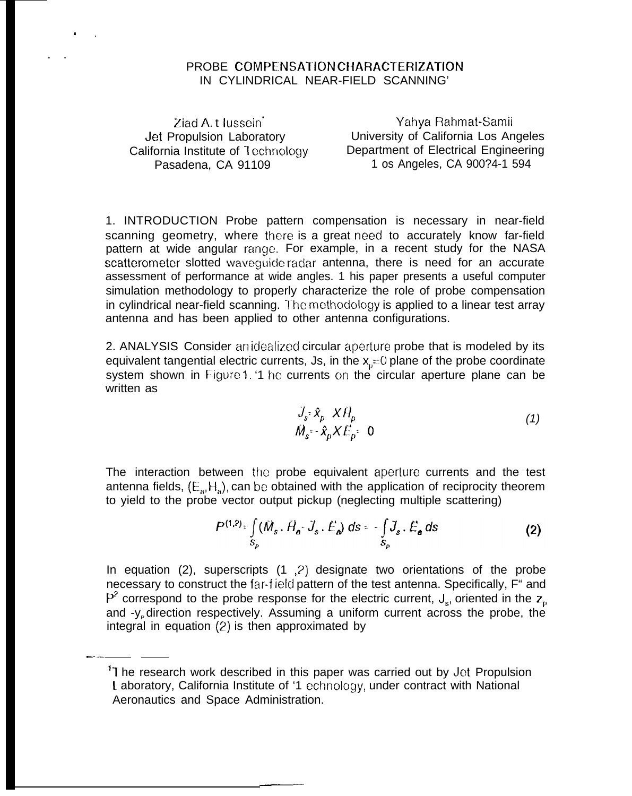## PROBE COMPENSATION CHARACTERIZATION IN CYLINDRICAL NEAR-FIELD SCANNING'

Ziad A.t Iussein Jet Propulsion Laboratory California Institute of Technology Pasadena, CA 91109

Yahya Rahmat-Samii University of California Los Angeles Department of Electrical Engineering 1 os Angeles, CA 900?4-1 594

1. INTRODUCTION Probe pattern compensation is necessary in near-field scanning geometry, where there is a great need to accurately know far-field pattern at wide angular range. For example, in a recent study for the NASA scatterometer slotted waveguide radar antenna, there is need for an accurate assessment of performance at wide angles. 1 his paper presents a useful computer simulation methodology to properly characterize the role of probe compensation in cylindrical near-field scanning. The methodology is applied to a linear test array antenna and has been applied to other antenna configurations.

2. ANALYSIS Consider anidealized circular aperture probe that is modeled by its equivalent tangential electric currents, Js, in the  $x_0 = 0$  plane of the probe coordinate system shown in Figure 1. '1 he currents on the circular aperture plane can be written as

$$
\frac{J_s}{\dot{M}_s} \times \hat{\mathbf{x}}_p \times \hat{H}_p
$$
\n
$$
\dot{M}_s \times \hat{\mathbf{x}}_p \times \hat{E}_p \times \mathbf{0}
$$
\n(1)

The interaction between the probe equivalent aperture currents and the test antenna fields,  $(E_a, H_a)$ , can be obtained with the application of reciprocity theorem to yield to the probe vector output pickup (neglecting multiple scattering)

$$
P^{(1,2)} = \int\limits_{S_p} (\dot{M}_s \cdot \dot{H}_a - \dot{J}_s \cdot \dot{E}_a) \, ds = -\int\limits_{S_p} \dot{J}_s \cdot \dot{E}_a \, ds \tag{2}
$$

In equation (2), superscripts (1, 2) designate two orientations of the probe necessary to construct the far-field pattern of the test antenna. Specifically, F" and  $P^2$  correspond to the probe response for the electric current,  $J_s$ , oriented in the  $z_p$ and -y<sub>p</sub> direction respectively. Assuming a uniform current across the probe, the integral in equation  $(2)$  is then approximated by

<sup>&</sup>lt;sup>1</sup> The research work described in this paper was carried out by Jet Propulsion Laboratory, California Institute of '1 echnology, under contract with National Aeronautics and Space Administration.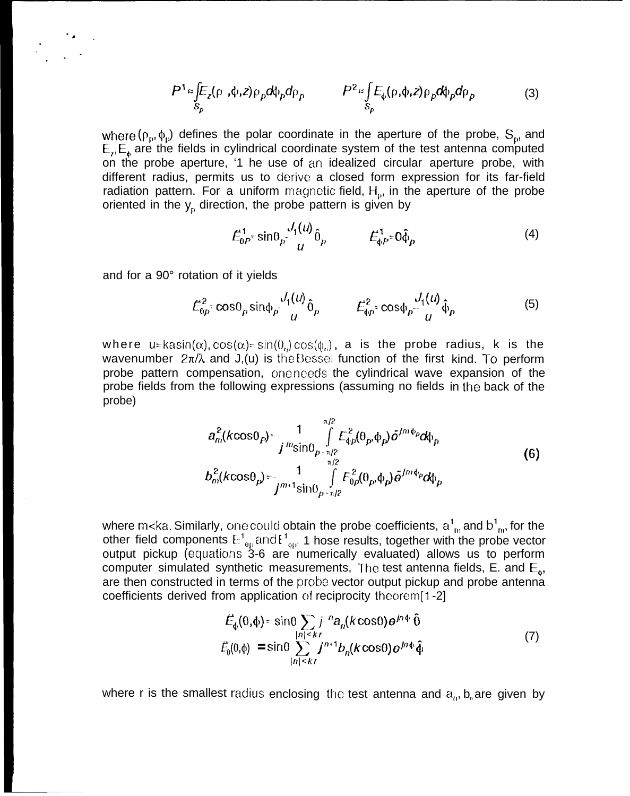$$
P^{1} \approx \int_{S_{p}} E_{z}(\rho, \phi, z) \rho_{p} d\phi_{p} d\rho_{p} \qquad P^{2} \approx \int_{S_{p}} E_{\phi}(\rho, \phi, z) \rho_{p} d\phi_{p} d\rho_{p} \qquad (3)
$$

where ( $\rho_p$ ,  $\phi_p$ ) defines the polar coordinate in the aperture of the probe,  $S_p$ , and  $E_{\lambda}E_{\lambda}$  are the fields in cylindrical coordinate system of the test antenna computed on the probe aperture, '1 he use of an idealized circular aperture probe, with different radius, permits us to derive a closed form expression for its far-field radiation pattern. For a uniform magnetic field,  $H_{\rho}$ , in the aperture of the probe oriented in the  $y<sub>p</sub>$  direction, the probe pattern is given by

$$
E_{0P}^1 \sin \theta_P \frac{J_1(u)}{u} \hat{\theta}_P \qquad \qquad E_{\phi P}^1 \cos \hat{\phi}_P \tag{4}
$$

and for a 90° rotation of it yields

$$
E_{0p}^2 = \cos\theta_p \sin\phi_p \frac{J_1(u)}{u} \hat{\theta}_p \qquad \qquad E_{\phi p}^2 = \cos\phi_p \frac{J_1(u)}{u} \hat{\phi}_p \tag{5}
$$

where u=kasin( $\alpha$ ), cos( $\alpha$ )= sin( $\theta$ <sub>0</sub>) cos( $\phi$ <sub>0</sub>), a is the probe radius, k is the wavenumber  $2\pi/\lambda$  and J,(u) is the Bessel function of the first kind. To perform probe pattern compensation, one needs the cylindrical wave expansion of the probe fields from the following expressions (assuming no fields in the back of the probe)

$$
a_m^2(k\cos\theta_P) = \frac{1}{j^m \sin\theta_{P-n/2}} \int_{n/2}^{n/2} E_{\phi_P}^2(\theta_P, \phi_P) \bar{o}^{j/m\phi_P} d\phi_P
$$
  
\n
$$
b_m^2(k\cos\theta_P) = \frac{1}{j^{m+1} \sin\theta_{P-n/2}} \int_{n/2}^{n/2} E_{\phi_P}^2(\theta_P, \phi_P) \bar{o}^{j/m\phi_P} d\phi_P
$$
 (6)

where m<ka. Similarly, one could obtain the probe coefficients,  $a_{\;\rm in}^{\rm r}$  and  $b_{\;\rm in}^{\rm r}$ , for the other field components  $\mathbb{H}^1_{\text{ on}}$  and  $\mathbb{H}^1_{\text{ on}}$  1 hose results, together with the probe vector output pickup (equations 3-6 are numerically evaluated) allows us to perform computer simulated synthetic measurements, The test antenna fields, E. and  $E_{4}$ , are then constructed in terms of the probe vector output pickup and probe antenna coefficients derived from application of reciprocity theorem $[1 -2]$ 

$$
\vec{E}_{\phi}(0,\phi) = \sin\theta \sum_{|n| \leq kr} j^{n} a_{n}(k \cos\theta) e^{j n \phi} \hat{\theta}
$$
\n
$$
\vec{E}_{0}(0,\phi) = \sin\theta \sum_{|n| \leq kr} j^{n+1} b_{n}(k \cos\theta) e^{j n \phi} \hat{\phi}
$$
\n(7)

where r is the smallest radius enclosing the test antenna and  $a<sub>0</sub>$ , b<sub>n</sub> are given by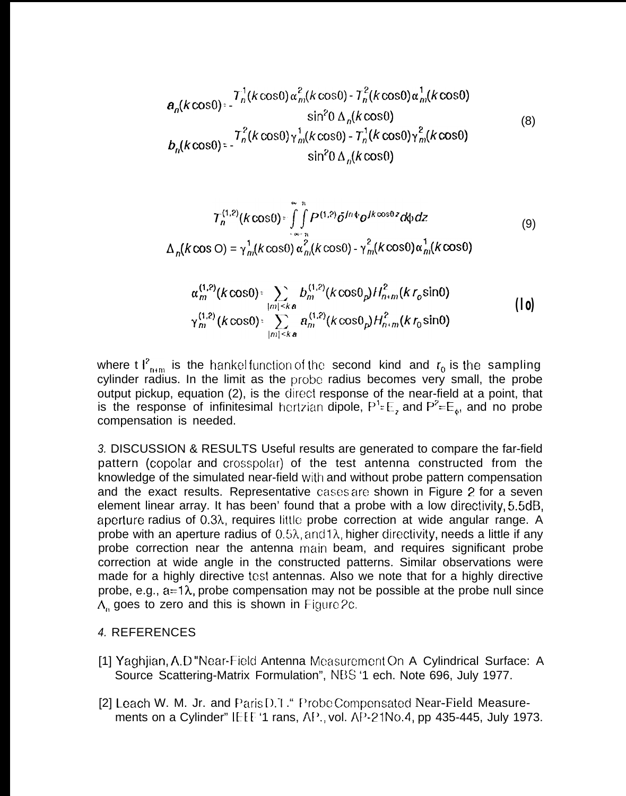$$
a_n(k\cos\theta) = \frac{T_n^1(k\cos\theta) \alpha_m^2(k\cos\theta) - T_n^2(k\cos\theta) \alpha_m^1(k\cos\theta)}{\sin^2\theta \Delta_n(k\cos\theta)}
$$
\n(8)  
\n
$$
b_n(k\cos\theta) = \frac{T_n^2(k\cos\theta) \gamma_m^1(k\cos\theta) - T_n^1(k\cos\theta) \gamma_m^2(k\cos\theta)}{\sin^2\theta \Delta_n(k\cos\theta)}
$$

$$
T_n^{(1,2)}(k\cos\theta) = \int_{-\infty}^{\infty} \int_{-\infty}^{\infty} P^{(1,2)} \delta^{Jn\phi} \frac{\partial^{Jk} \cos\theta^{j} z}{\partial \phi^{j}} dz
$$
\n
$$
\Delta_n(k\cos\theta) = \gamma_m^1(k\cos\theta) \alpha_m^2(k\cos\theta) - \gamma_m^2(k\cos\theta) \alpha_m^1(k\cos\theta)
$$
\n(9)

$$
\alpha_m^{(1,2)}(k\cos\theta) = \sum_{\substack{|m| \leq k\,\mathbf{a} \\ |m| \leq k\,\mathbf{a}}} b_m^{(1,2)}(k\cos\theta_p) H_{n+m}^2(kr_0\sin\theta) \n\gamma_m^{(1,2)}(k\cos\theta) = \sum_{|m| \leq k\,\mathbf{a}} a_m^{(1,2)}(k\cos\theta_p) H_{n+m}^2(kr_0\sin\theta)
$$
\n(10)

where t  $I_{n+m}^2$  is the hankel function of the second kind and  $r_0$  is the sampling cylinder radius. In the limit as the probe radius becomes very small, the probe output pickup, equation (2), is the ciirect response of the near-field at a point, that is the response of infinitesimal hertzian dipole,  $P^1 = E_2$  and  $P^2 = E_4$ , and no probe compensation is needed.

*3.* DISCUSSION & RESULTS Useful results are generated to compare the far-field pattern (copolar and crosspolar) of the test antenna constructed from the knowledge of the simulated near-field with and without probe pattern compensation and the exact results. Representative cases are shown in Figure 2 for a seven element linear array. It has been' found that a probe with a low directivity, 5.5dB, aperture radius of  $0.3\lambda$ , requires little probe correction at wide angular range. A probe with an aperture radius of  $0.5\lambda$ , and  $1\lambda$ , higher directivity, needs a little if any probe correction near the antenna main beam, and requires significant probe correction at wide angle in the constructed patterns. Similar observations were made for a highly directive test antennas. Also we note that for a highly directive probe, e.g.,  $a=1\lambda$ , probe compensation may not be possible at the probe null since  $\Lambda$ , goes to zero and this is shown in Figure 2c.

## *4.* REFERENCES

- [1] Yaghijan, A.D "Near-Field Antenna Measurement On A Cylindrical Surface: A Source Scattering-Matrix Formulation", NDS '1 ech. Note 696, July 1977.
- [2] Leach W. M. Jr. and Paris D. I. " Probe Compensated Near-Field Measurements on a Cylinder" IEEE '1 rans,  $AP.$ , vol.  $AP-21No.4$ , pp 435-445, July 1973.